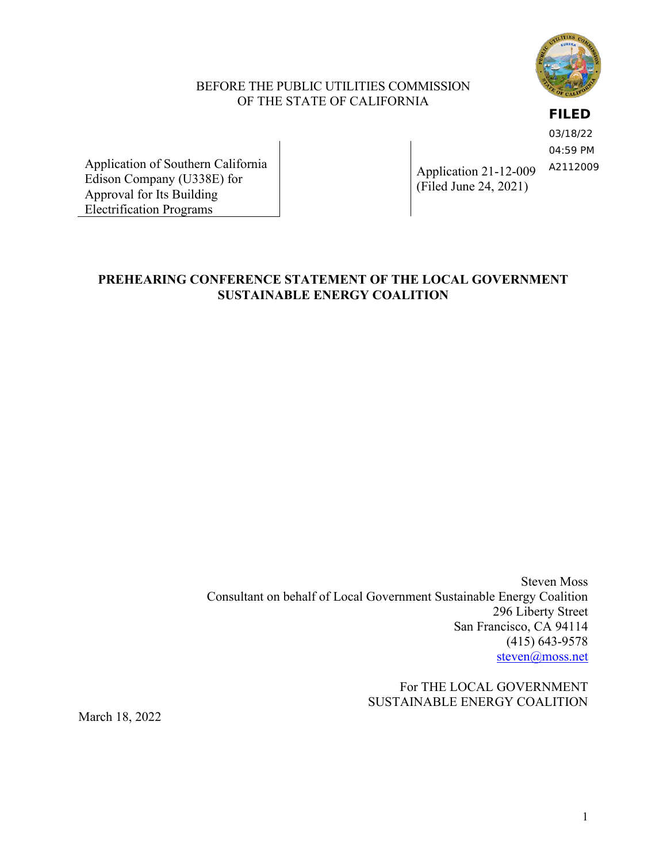

## BEFORE THE PUBLIC UTILITIES COMMISSION OF THE STATE OF CALIFORNIA

**FILED**

03/18/22 04:59 PM A2112009

Application of Southern California Edison Company (U338E) for Approval for Its Building Electrification Programs

Application 21-12-009 (Filed June 24, 2021)

## **PREHEARING CONFERENCE STATEMENT OF THE LOCAL GOVERNMENT SUSTAINABLE ENERGY COALITION**

Steven Moss Consultant on behalf of Local Government Sustainable Energy Coalition 296 Liberty Street San Francisco, CA 94114 (415) 643-9578 [steven@moss.net](mailto:steven@moss.net)

> For THE LOCAL GOVERNMENT SUSTAINABLE ENERGY COALITION

March 18, 2022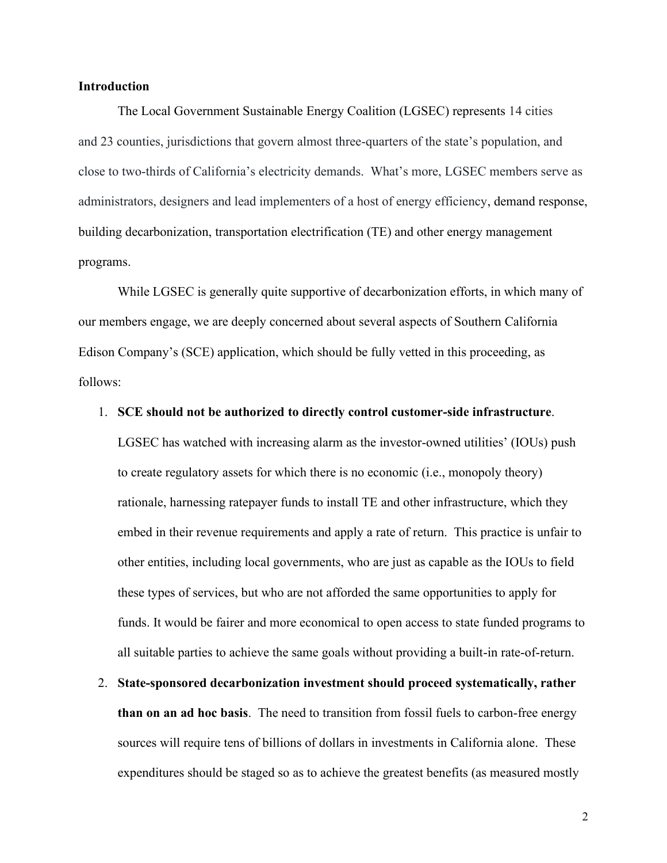## **Introduction**

The Local Government Sustainable Energy Coalition (LGSEC) represents 14 cities and 23 counties, jurisdictions that govern almost three-quarters of the state's population, and close to two-thirds of California's electricity demands. What's more, LGSEC members serve as administrators, designers and lead implementers of a host of energy efficiency, demand response, building decarbonization, transportation electrification (TE) and other energy management programs.

While LGSEC is generally quite supportive of decarbonization efforts, in which many of our members engage, we are deeply concerned about several aspects of Southern California Edison Company's (SCE) application, which should be fully vetted in this proceeding, as follows:

## 1. **SCE should not be authorized to directly control customer-side infrastructure**.

LGSEC has watched with increasing alarm as the investor-owned utilities' (IOUs) push to create regulatory assets for which there is no economic (i.e., monopoly theory) rationale, harnessing ratepayer funds to install TE and other infrastructure, which they embed in their revenue requirements and apply a rate of return. This practice is unfair to other entities, including local governments, who are just as capable as the IOUs to field these types of services, but who are not afforded the same opportunities to apply for funds. It would be fairer and more economical to open access to state funded programs to all suitable parties to achieve the same goals without providing a built-in rate-of-return.

2. **State-sponsored decarbonization investment should proceed systematically, rather than on an ad hoc basis**. The need to transition from fossil fuels to carbon-free energy sources will require tens of billions of dollars in investments in California alone. These expenditures should be staged so as to achieve the greatest benefits (as measured mostly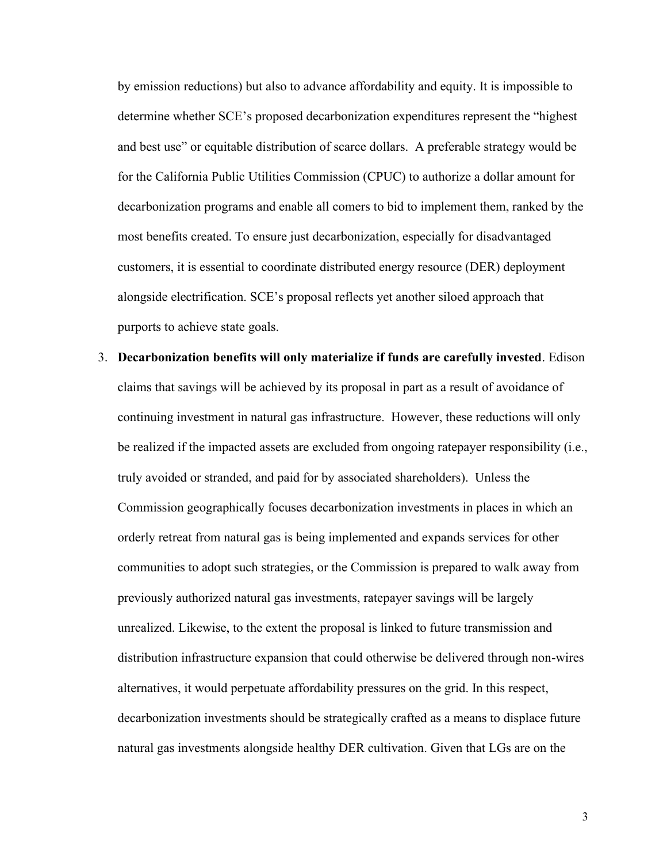by emission reductions) but also to advance affordability and equity. It is impossible to determine whether SCE's proposed decarbonization expenditures represent the "highest and best use" or equitable distribution of scarce dollars. A preferable strategy would be for the California Public Utilities Commission (CPUC) to authorize a dollar amount for decarbonization programs and enable all comers to bid to implement them, ranked by the most benefits created. To ensure just decarbonization, especially for disadvantaged customers, it is essential to coordinate distributed energy resource (DER) deployment alongside electrification. SCE's proposal reflects yet another siloed approach that purports to achieve state goals.

3. **Decarbonization benefits will only materialize if funds are carefully invested**. Edison claims that savings will be achieved by its proposal in part as a result of avoidance of continuing investment in natural gas infrastructure. However, these reductions will only be realized if the impacted assets are excluded from ongoing ratepayer responsibility (i.e., truly avoided or stranded, and paid for by associated shareholders). Unless the Commission geographically focuses decarbonization investments in places in which an orderly retreat from natural gas is being implemented and expands services for other communities to adopt such strategies, or the Commission is prepared to walk away from previously authorized natural gas investments, ratepayer savings will be largely unrealized. Likewise, to the extent the proposal is linked to future transmission and distribution infrastructure expansion that could otherwise be delivered through non-wires alternatives, it would perpetuate affordability pressures on the grid. In this respect, decarbonization investments should be strategically crafted as a means to displace future natural gas investments alongside healthy DER cultivation. Given that LGs are on the

3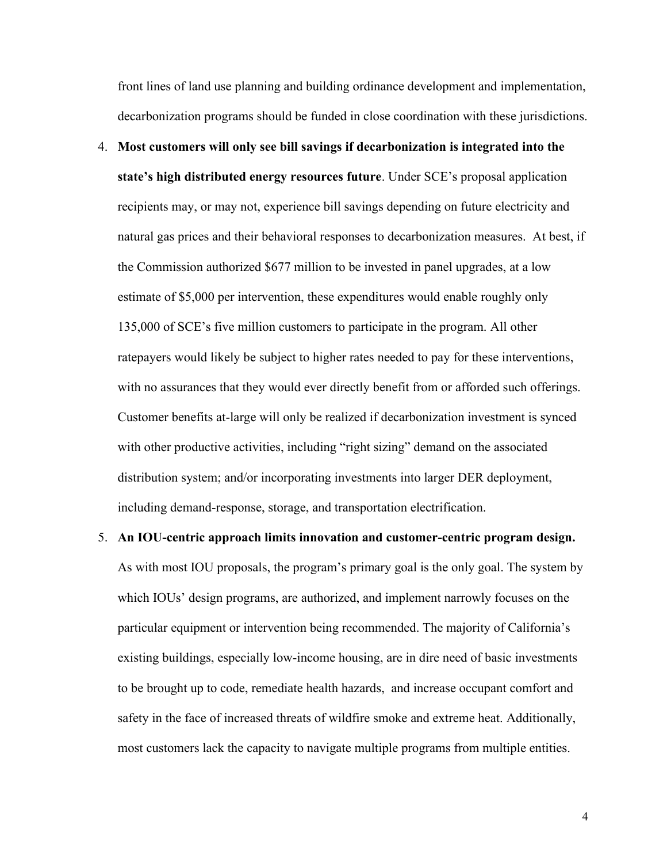front lines of land use planning and building ordinance development and implementation, decarbonization programs should be funded in close coordination with these jurisdictions.

- 4. **Most customers will only see bill savings if decarbonization is integrated into the state's high distributed energy resources future**. Under SCE's proposal application recipients may, or may not, experience bill savings depending on future electricity and natural gas prices and their behavioral responses to decarbonization measures. At best, if the Commission authorized \$677 million to be invested in panel upgrades, at a low estimate of \$5,000 per intervention, these expenditures would enable roughly only 135,000 of SCE's five million customers to participate in the program. All other ratepayers would likely be subject to higher rates needed to pay for these interventions, with no assurances that they would ever directly benefit from or afforded such offerings. Customer benefits at-large will only be realized if decarbonization investment is synced with other productive activities, including "right sizing" demand on the associated distribution system; and/or incorporating investments into larger DER deployment, including demand-response, storage, and transportation electrification.
- 5. **An IOU-centric approach limits innovation and customer-centric program design.**  As with most IOU proposals, the program's primary goal is the only goal. The system by which IOUs' design programs, are authorized, and implement narrowly focuses on the particular equipment or intervention being recommended. The majority of California's existing buildings, especially low-income housing, are in dire need of basic investments to be brought up to code, remediate health hazards, and increase occupant comfort and safety in the face of increased threats of wildfire smoke and extreme heat. Additionally, most customers lack the capacity to navigate multiple programs from multiple entities.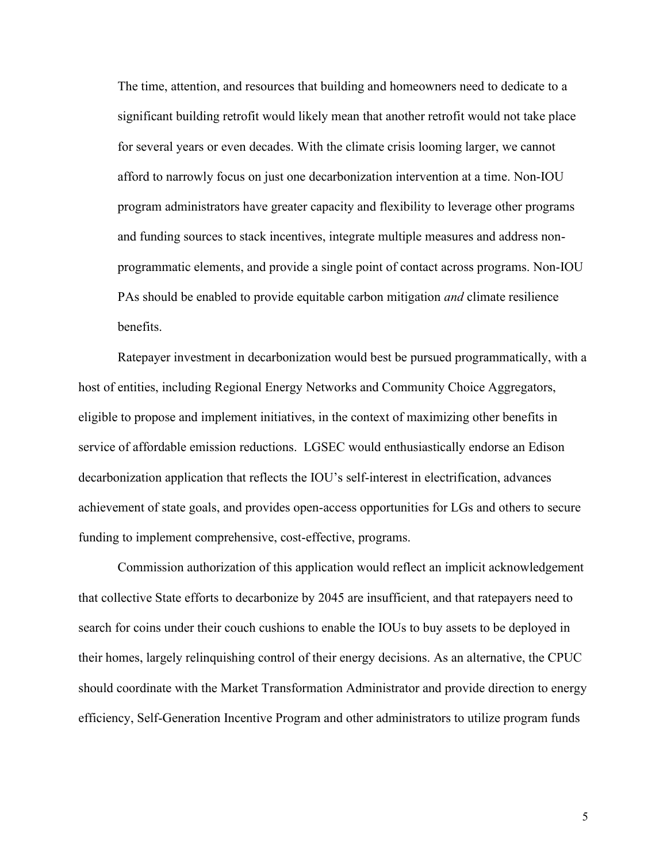The time, attention, and resources that building and homeowners need to dedicate to a significant building retrofit would likely mean that another retrofit would not take place for several years or even decades. With the climate crisis looming larger, we cannot afford to narrowly focus on just one decarbonization intervention at a time. Non-IOU program administrators have greater capacity and flexibility to leverage other programs and funding sources to stack incentives, integrate multiple measures and address nonprogrammatic elements, and provide a single point of contact across programs. Non-IOU PAs should be enabled to provide equitable carbon mitigation *and* climate resilience benefits.

Ratepayer investment in decarbonization would best be pursued programmatically, with a host of entities, including Regional Energy Networks and Community Choice Aggregators, eligible to propose and implement initiatives, in the context of maximizing other benefits in service of affordable emission reductions. LGSEC would enthusiastically endorse an Edison decarbonization application that reflects the IOU's self-interest in electrification, advances achievement of state goals, and provides open-access opportunities for LGs and others to secure funding to implement comprehensive, cost-effective, programs.

Commission authorization of this application would reflect an implicit acknowledgement that collective State efforts to decarbonize by 2045 are insufficient, and that ratepayers need to search for coins under their couch cushions to enable the IOUs to buy assets to be deployed in their homes, largely relinquishing control of their energy decisions. As an alternative, the CPUC should coordinate with the Market Transformation Administrator and provide direction to energy efficiency, Self-Generation Incentive Program and other administrators to utilize program funds